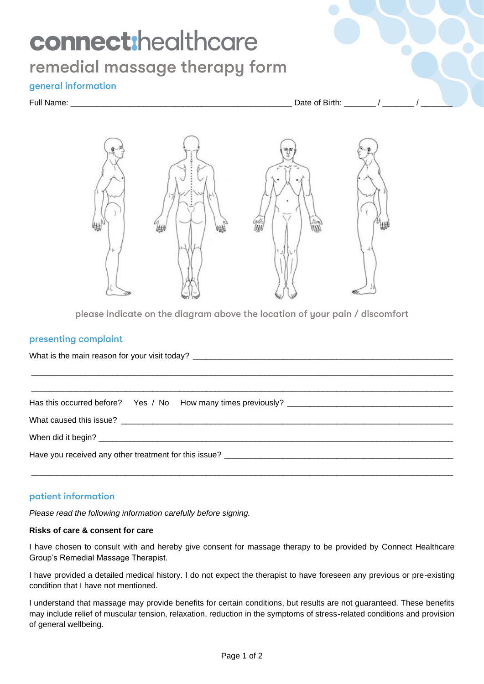# connect:healthcare remedial massage therapy form

## general information

Full Name:  $\Box$  Date of Birth:  $\Box$  /



please indicate on the diagram above the location of your pain / discomfort

#### presenting complaint

|  |  |  | Have you received any other treatment for this issue? |
|--|--|--|-------------------------------------------------------|
|  |  |  |                                                       |

# patient information

*Please read the following information carefully before signing.*

### **Risks of care & consent for care**

I have chosen to consult with and hereby give consent for massage therapy to be provided by Connect Healthcare Group's Remedial Massage Therapist.

I have provided a detailed medical history. I do not expect the therapist to have foreseen any previous or pre-existing condition that I have not mentioned.

I understand that massage may provide benefits for certain conditions, but results are not guaranteed. These benefits may include relief of muscular tension, relaxation, reduction in the symptoms of stress-related conditions and provision of general wellbeing.